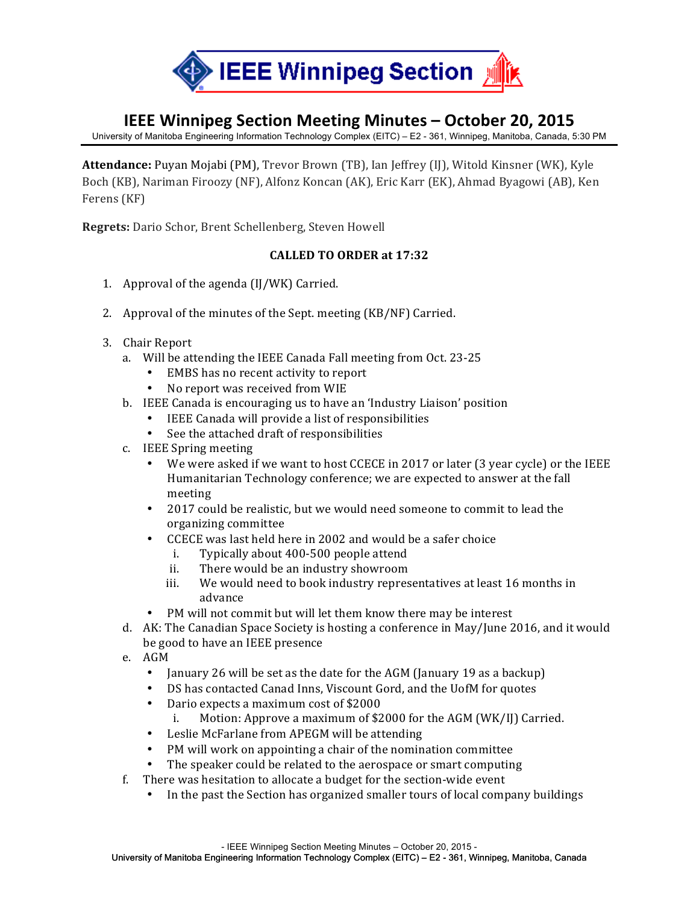

### **IEEE Winnipeg Section Meeting Minutes - October 20, 2015**

University of Manitoba Engineering Information Technology Complex (EITC) – E2 - 361, Winnipeg, Manitoba, Canada, 5:30 PM

**Attendance:** Puyan Mojabi (PM), Trevor Brown (TB), Ian Jeffrey (IJ), Witold Kinsner (WK), Kyle Boch (KB), Nariman Firoozy (NF), Alfonz Koncan (AK), Eric Karr (EK), Ahmad Byagowi (AB), Ken Ferens (KF)

**Regrets:** Dario Schor, Brent Schellenberg, Steven Howell

#### **CALLED TO ORDER at 17:32**

- 1. Approval of the agenda  $(II/WK)$  Carried.
- 2. Approval of the minutes of the Sept. meeting (KB/NF) Carried.
- 3. Chair Report
	- a. Will be attending the IEEE Canada Fall meeting from Oct. 23-25
		- EMBS has no recent activity to report
		- No report was received from WIE
	- b. IEEE Canada is encouraging us to have an 'Industry Liaison' position
		- IEEE Canada will provide a list of responsibilities
		- See the attached draft of responsibilities
	- c. IEEE Spring meeting
		- We were asked if we want to host CCECE in 2017 or later (3 year cycle) or the IEEE Humanitarian Technology conference; we are expected to answer at the fall meeting
		- 2017 could be realistic, but we would need someone to commit to lead the organizing committee
		- CCECE was last held here in 2002 and would be a safer choice
			- i. Typically about 400-500 people attend
			- ii. There would be an industry showroom
			- iii. We would need to book industry representatives at least 16 months in advance
		- PM will not commit but will let them know there may be interest
	- d. AK: The Canadian Space Society is hosting a conference in May/June 2016, and it would be good to have an IEEE presence
	- e. AGM
		- January 26 will be set as the date for the AGM (January 19 as a backup)
		- DS has contacted Canad Inns, Viscount Gord, and the UofM for quotes
		- Dario expects a maximum cost of \$2000
			- i. Motion: Approve a maximum of  $$2000$  for the AGM (WK/II) Carried.
		- Leslie McFarlane from APEGM will be attending
		- PM will work on appointing a chair of the nomination committee
		- The speaker could be related to the aerospace or smart computing
	- f. There was hesitation to allocate a budget for the section-wide event
		- In the past the Section has organized smaller tours of local company buildings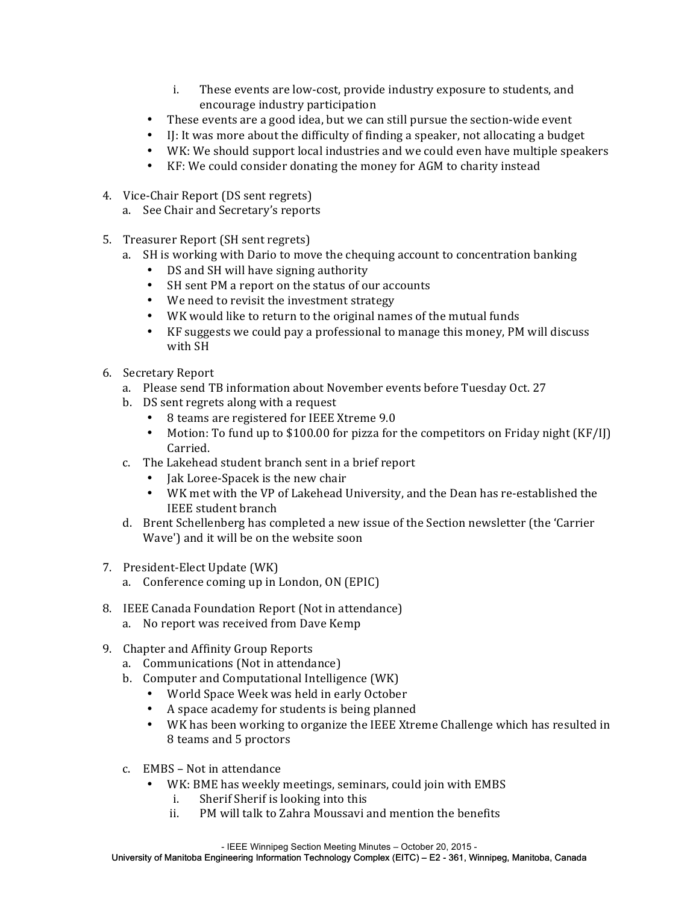- i. These events are low-cost, provide industry exposure to students, and encourage industry participation
- These events are a good idea, but we can still pursue the section-wide event
- I: It was more about the difficulty of finding a speaker, not allocating a budget
- WK: We should support local industries and we could even have multiple speakers
- KF: We could consider donating the money for AGM to charity instead
- 4. Vice-Chair Report (DS sent regrets)
	- a. See Chair and Secretary's reports
- 5. Treasurer Report (SH sent regrets)
	- a. SH is working with Dario to move the chequing account to concentration banking
		- DS and SH will have signing authority
		- SH sent PM a report on the status of our accounts
		- We need to revisit the investment strategy
		- WK would like to return to the original names of the mutual funds
		- $KF$  suggests we could pay a professional to manage this money, PM will discuss with SH
- 6. Secretary Report
	- a. Please send TB information about November events before Tuesday Oct. 27
	- b. DS sent regrets along with a request
		- 8 teams are registered for IEEE Xtreme 9.0
		- Motion: To fund up to \$100.00 for pizza for the competitors on Friday night (KF/IJ) Carried.
	- c. The Lakehead student branch sent in a brief report
		- Jak Loree-Spacek is the new chair
		- WK met with the VP of Lakehead University, and the Dean has re-established the IEEE student branch
	- d. Brent Schellenberg has completed a new issue of the Section newsletter (the 'Carrier Wave') and it will be on the website soon
- 7. President-Elect Update (WK)
	- a. Conference coming up in London, ON (EPIC)
- 8. IEEE Canada Foundation Report (Not in attendance)
	- a. No report was received from Dave Kemp
- 9. Chapter and Affinity Group Reports
	- a. Communications (Not in attendance)
	- b. Computer and Computational Intelligence (WK)
		- World Space Week was held in early October
		- A space academy for students is being planned
		- WK has been working to organize the IEEE Xtreme Challenge which has resulted in 8 teams and 5 proctors
	- c. EMBS Not in attendance
		- WK: BME has weekly meetings, seminars, could join with EMBS
			- i. Sherif Sherif is looking into this
			- ii. PM will talk to Zahra Moussavi and mention the benefits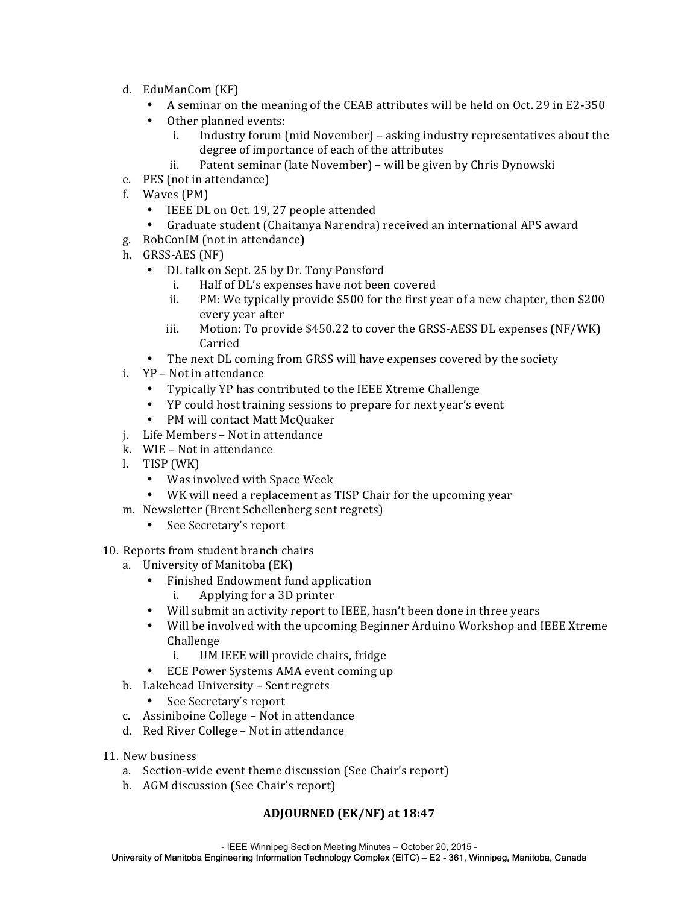- d. EduManCom (KF)
	- A seminar on the meaning of the CEAB attributes will be held on Oct. 29 in E2-350
	- Other planned events:
		- i. Industry forum (mid November) asking industry representatives about the degree of importance of each of the attributes
		- ii. Patent seminar (late November) will be given by Chris Dynowski
- e. PES (not in attendance)
- f. Waves (PM)
	- IEEE DL on Oct. 19, 27 people attended
	- Graduate student (Chaitanya Narendra) received an international APS award
- g. RobConIM (not in attendance)
- h. GRSS-AES (NF)
	- DL talk on Sept. 25 by Dr. Tony Ponsford
		- i. Half of DL's expenses have not been covered
		- ii. PM: We typically provide  $$500$  for the first year of a new chapter, then  $$200$ every year after
		- iii. Motion: To provide  $$450.22$  to cover the GRSS-AESS DL expenses (NF/WK) Carried
	- The next DL coming from GRSS will have expenses covered by the society
- i. YP Not in attendance
	- Typically YP has contributed to the IEEE Xtreme Challenge
	- YP could host training sessions to prepare for next year's event
	- PM will contact Matt McQuaker
- j. Life Members Not in attendance
- k. WIE Not in attendance
- l. TISP (WK)
	- Was involved with Space Week
	- WK will need a replacement as TISP Chair for the upcoming year
- m. Newsletter (Brent Schellenberg sent regrets)
	- See Secretary's report
- 10. Reports from student branch chairs
	- a. University of Manitoba (EK)
		- Finished Endowment fund application
			- i. Applying for a 3D printer
		- Will submit an activity report to IEEE, hasn't been done in three years
		- Will be involved with the upcoming Beginner Arduino Workshop and IEEE Xtreme Challenge
			- i. UM IEEE will provide chairs, fridge
		- ECE Power Systems AMA event coming up
	- b. Lakehead University Sent regrets
		- See Secretary's report
	- c. Assiniboine College Not in attendance
	- d. Red River College Not in attendance
- 11. New business
	- a. Section-wide event theme discussion (See Chair's report)
	- b. AGM discussion (See Chair's report)

#### **ADJOURNED (EK/NF) at 18:47**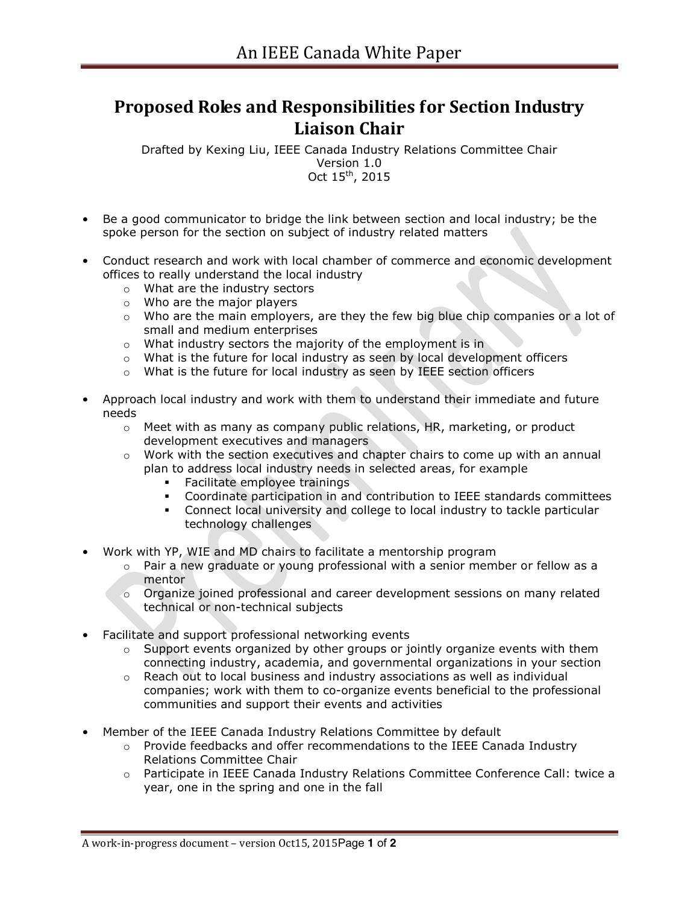## **Proposed Roles and Responsibilities for Section Industry Liaison Chair**

Drafted by Kexing Liu, IEEE Canada Industry Relations Committee Chair Version 1.0 Oct 15th, 2015

- Be a good communicator to bridge the link between section and local industry; be the spoke person for the section on subject of industry related matters
- Conduct research and work with local chamber of commerce and economic development offices to really understand the local industry
	- o What are the industry sectors
	- o Who are the major players
	- $\circ$  Who are the main employers, are they the few big blue chip companies or a lot of small and medium enterprises
	- o What industry sectors the majority of the employment is in
	- o What is the future for local industry as seen by local development officers
	- o What is the future for local industry as seen by IEEE section officers
- Approach local industry and work with them to understand their immediate and future needs
	- $\circ$  Meet with as many as company public relations, HR, marketing, or product development executives and managers
	- $\circ$  Work with the section executives and chapter chairs to come up with an annual plan to address local industry needs in selected areas, for example
		- **Facilitate employee trainings**
		- Coordinate participation in and contribution to IEEE standards committees
		- Connect local university and college to local industry to tackle particular technology challenges
- Work with YP, WIE and MD chairs to facilitate a mentorship program
	- $\circ$  Pair a new graduate or young professional with a senior member or fellow as a mentor
	- $\circ$  Organize joined professional and career development sessions on many related technical or non-technical subjects
- Facilitate and support professional networking events
	- $\circ$  Support events organized by other groups or jointly organize events with them connecting industry, academia, and governmental organizations in your section
	- $\circ$  Reach out to local business and industry associations as well as individual companies; work with them to co-organize events beneficial to the professional communities and support their events and activities
- Member of the IEEE Canada Industry Relations Committee by default
	- $\circ$  Provide feedbacks and offer recommendations to the IEEE Canada Industry Relations Committee Chair
	- o Participate in IEEE Canada Industry Relations Committee Conference Call: twice a year, one in the spring and one in the fall